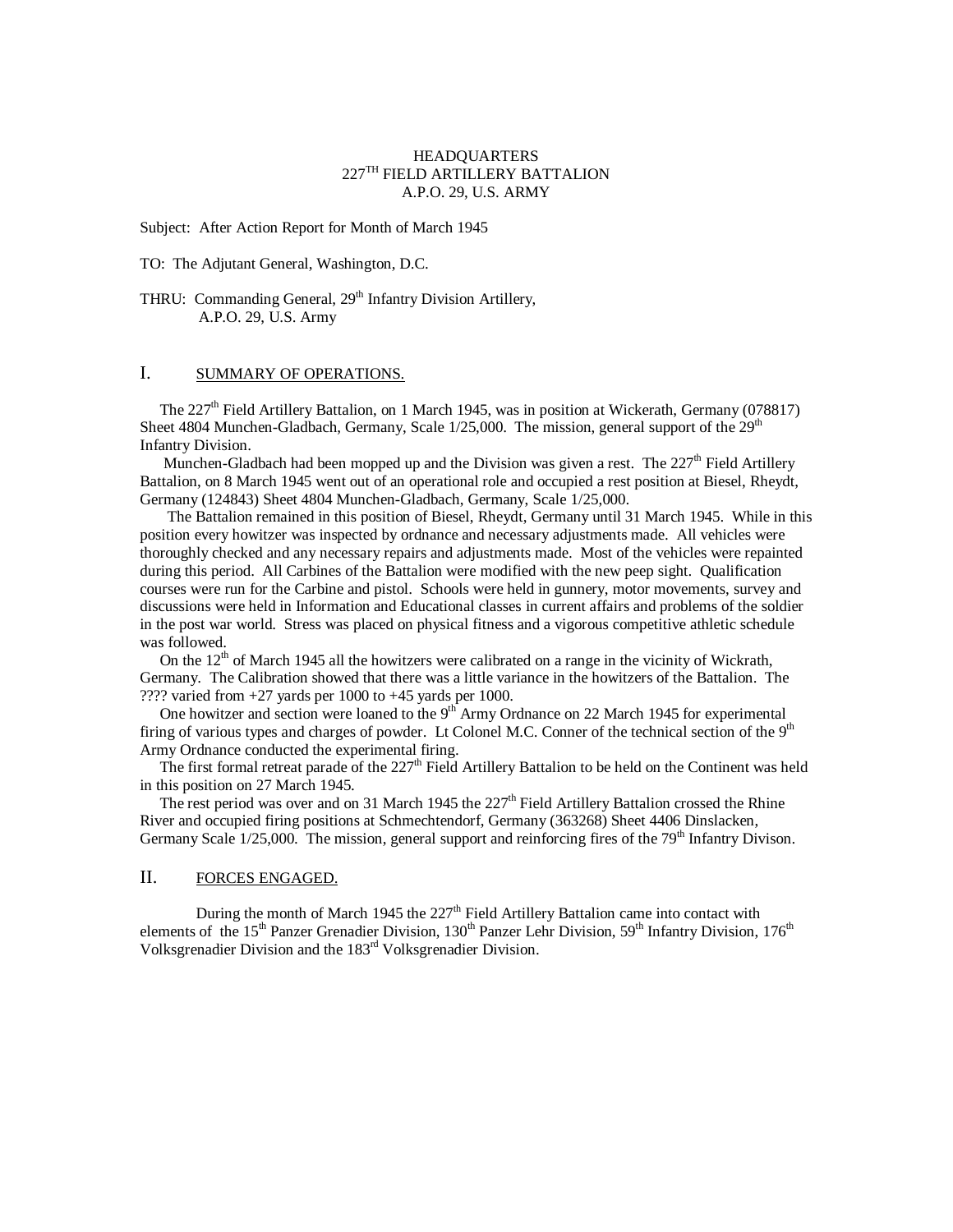### HEADQUARTERS 227TH FIELD ARTILLERY BATTALION A.P.O. 29, U.S. ARMY

Subject: After Action Report for Month of March 1945

TO: The Adjutant General, Washington, D.C.

THRU: Commanding General, 29<sup>th</sup> Infantry Division Artillery, A.P.O. 29, U.S. Army

### I. SUMMARY OF OPERATIONS.

The 227<sup>th</sup> Field Artillery Battalion, on 1 March 1945, was in position at Wickerath, Germany (078817) Sheet 4804 Munchen-Gladbach, Germany, Scale  $1/25,000$ . The mission, general support of the  $29<sup>th</sup>$ Infantry Division.

Munchen-Gladbach had been mopped up and the Division was given a rest. The  $227<sup>th</sup>$  Field Artillery Battalion, on 8 March 1945 went out of an operational role and occupied a rest position at Biesel, Rheydt, Germany (124843) Sheet 4804 Munchen-Gladbach, Germany, Scale 1/25,000.

 The Battalion remained in this position of Biesel, Rheydt, Germany until 31 March 1945. While in this position every howitzer was inspected by ordnance and necessary adjustments made. All vehicles were thoroughly checked and any necessary repairs and adjustments made. Most of the vehicles were repainted during this period. All Carbines of the Battalion were modified with the new peep sight. Qualification courses were run for the Carbine and pistol. Schools were held in gunnery, motor movements, survey and discussions were held in Information and Educational classes in current affairs and problems of the soldier in the post war world. Stress was placed on physical fitness and a vigorous competitive athletic schedule was followed.

On the  $12<sup>th</sup>$  of March 1945 all the howitzers were calibrated on a range in the vicinity of Wickrath, Germany. The Calibration showed that there was a little variance in the howitzers of the Battalion. The ???? varied from +27 yards per 1000 to +45 yards per 1000.

One howitzer and section were loaned to the  $9<sup>th</sup>$  Army Ordnance on 22 March 1945 for experimental firing of various types and charges of powder. Lt Colonel M.C. Conner of the technical section of the  $9<sup>th</sup>$ Army Ordnance conducted the experimental firing.

The first formal retreat parade of the 227<sup>th</sup> Field Artillery Battalion to be held on the Continent was held in this position on 27 March 1945.

The rest period was over and on 31 March 1945 the  $227<sup>th</sup>$  Field Artillery Battalion crossed the Rhine River and occupied firing positions at Schmechtendorf, Germany (363268) Sheet 4406 Dinslacken, Germany Scale  $1/25,000$ . The mission, general support and reinforcing fires of the  $79<sup>th</sup>$  Infantry Divison.

## II. FORCES ENGAGED.

During the month of March 1945 the 227<sup>th</sup> Field Artillery Battalion came into contact with elements of the 15<sup>th</sup> Panzer Grenadier Division, 130<sup>th</sup> Panzer Lehr Division, 59<sup>th</sup> Infantry Division, 176<sup>th</sup> Volksgrenadier Division and the 183rd Volksgrenadier Division.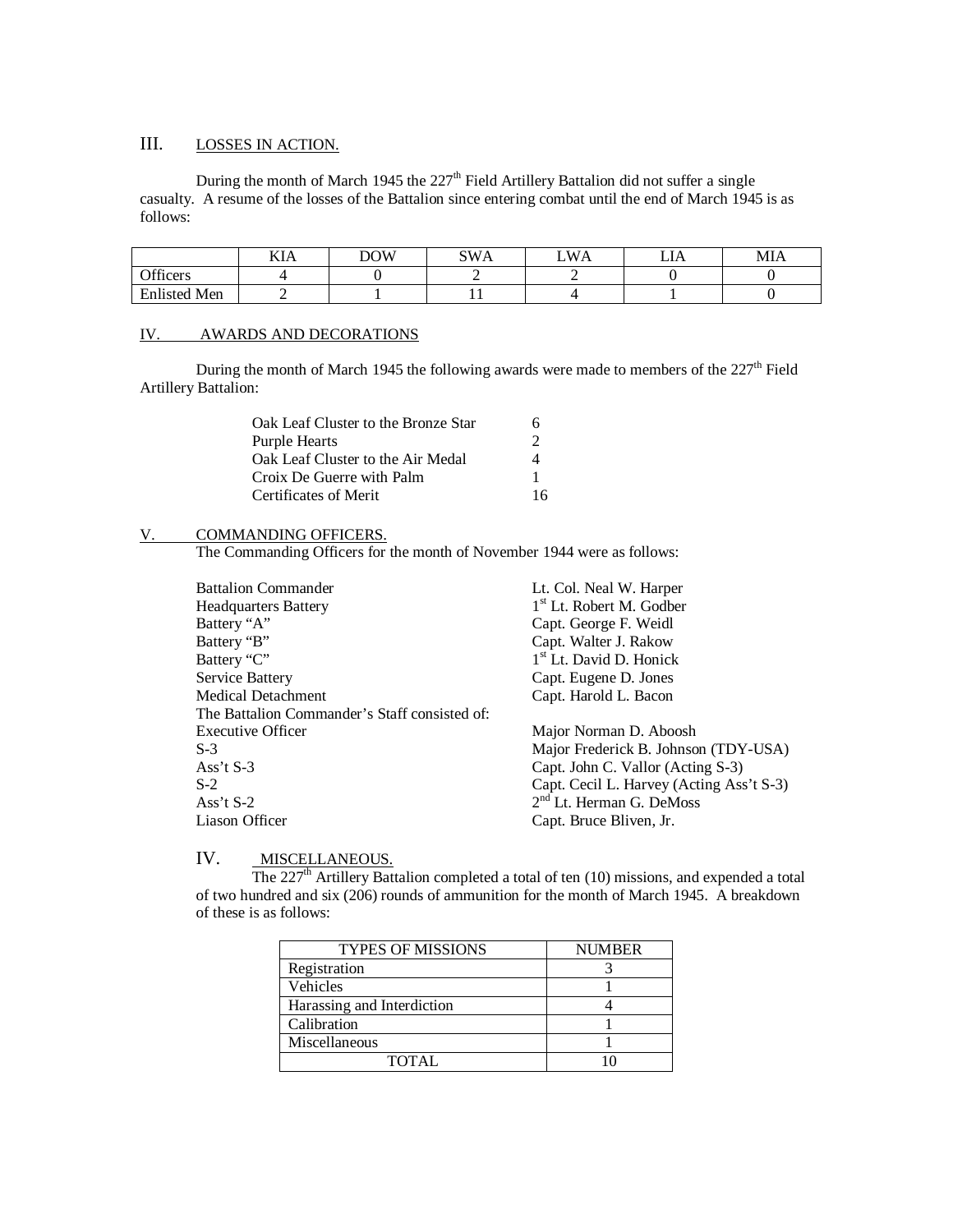# III. LOSSES IN ACTION.

During the month of March 1945 the  $227<sup>th</sup>$  Field Artillery Battalion did not suffer a single casualty. A resume of the losses of the Battalion since entering combat until the end of March 1945 is as follows:

|                     | KIA | <b>DOW</b> | SWA | <b>WA</b> | $-$<br>ப | MIA |
|---------------------|-----|------------|-----|-----------|----------|-----|
| Officers            |     |            |     |           |          |     |
| <b>Enlisted Men</b> |     |            | . . |           |          |     |

# IV. AWARDS AND DECORATIONS

During the month of March 1945 the following awards were made to members of the 227<sup>th</sup> Field Artillery Battalion:

| Oak Leaf Cluster to the Bronze Star | h  |
|-------------------------------------|----|
| <b>Purple Hearts</b>                | 2  |
| Oak Leaf Cluster to the Air Medal   | 4  |
| Croix De Guerre with Palm           |    |
| Certificates of Merit               | 16 |

#### V. COMMANDING OFFICERS.

The Commanding Officers for the month of November 1944 were as follows:

| <b>Battalion Commander</b>                    | Lt. Col. Neal W. Harper                  |
|-----------------------------------------------|------------------------------------------|
| <b>Headquarters Battery</b>                   | 1 <sup>st</sup> Lt. Robert M. Godber     |
| Battery "A"                                   | Capt. George F. Weidl                    |
| Battery "B"                                   | Capt. Walter J. Rakow                    |
| Battery "C"                                   | $1st$ Lt. David D. Honick                |
| Service Battery                               | Capt. Eugene D. Jones                    |
| Medical Detachment                            | Capt. Harold L. Bacon                    |
| The Battalion Commander's Staff consisted of: |                                          |
| <b>Executive Officer</b>                      | Major Norman D. Aboosh                   |
| $S-3$                                         | Major Frederick B. Johnson (TDY-USA)     |
| Ass't $S-3$                                   | Capt. John C. Vallor (Acting S-3)        |
| $S-2$                                         | Capt. Cecil L. Harvey (Acting Ass't S-3) |
| Ass't $S-2$                                   | $2nd$ Lt. Herman G. DeMoss               |
| Liason Officer                                | Capt. Bruce Bliven, Jr.                  |
|                                               |                                          |

# IV. MISCELLANEOUS.

The  $227<sup>th</sup>$  Artillery Battalion completed a total of ten (10) missions, and expended a total of two hundred and six (206) rounds of ammunition for the month of March 1945. A breakdown of these is as follows:

| <b>TYPES OF MISSIONS</b>   | <b>NUMBER</b> |  |  |
|----------------------------|---------------|--|--|
| Registration               |               |  |  |
| Vehicles                   |               |  |  |
| Harassing and Interdiction |               |  |  |
| Calibration                |               |  |  |
| Miscellaneous              |               |  |  |
| TOTAL.                     |               |  |  |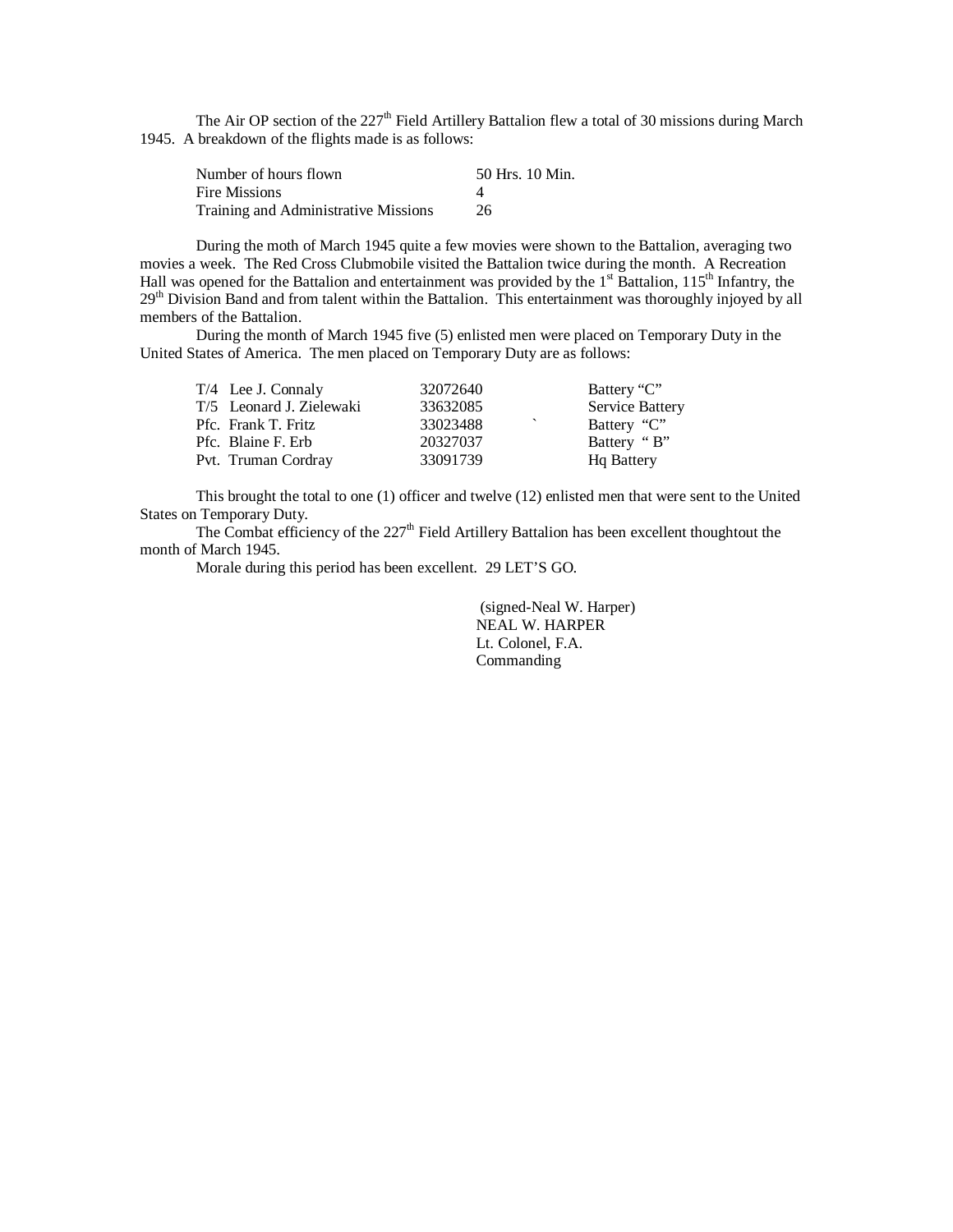The Air OP section of the  $227<sup>th</sup>$  Field Artillery Battalion flew a total of 30 missions during March 1945. A breakdown of the flights made is as follows:

| Number of hours flown                | 50 Hrs. 10 Min. |
|--------------------------------------|-----------------|
| Fire Missions                        |                 |
| Training and Administrative Missions | 26              |

During the moth of March 1945 quite a few movies were shown to the Battalion, averaging two movies a week. The Red Cross Clubmobile visited the Battalion twice during the month. A Recreation Hall was opened for the Battalion and entertainment was provided by the  $1<sup>st</sup>$  Battalion,  $115<sup>th</sup>$  Infantry, the 29<sup>th</sup> Division Band and from talent within the Battalion. This entertainment was thoroughly injoyed by all members of the Battalion.

During the month of March 1945 five (5) enlisted men were placed on Temporary Duty in the United States of America. The men placed on Temporary Duty are as follows:

| T/4 Lee J. Connaly       | 32072640 | Battery "C"        |
|--------------------------|----------|--------------------|
| T/5 Leonard J. Zielewaki | 33632085 | Service Battery    |
| Pfc. Frank T. Fritz      | 33023488 | Battery "C"        |
| Pfc. Blaine F. Erb       | 20327037 | Battery "B"        |
| Pvt. Truman Cordray      | 33091739 | <b>H</b> q Battery |

This brought the total to one (1) officer and twelve (12) enlisted men that were sent to the United States on Temporary Duty.

The Combat efficiency of the  $227<sup>th</sup>$  Field Artillery Battalion has been excellent thoughtout the month of March 1945.

Morale during this period has been excellent. 29 LET'S GO.

(signed-Neal W. Harper) NEAL W. HARPER Lt. Colonel, F.A. Commanding